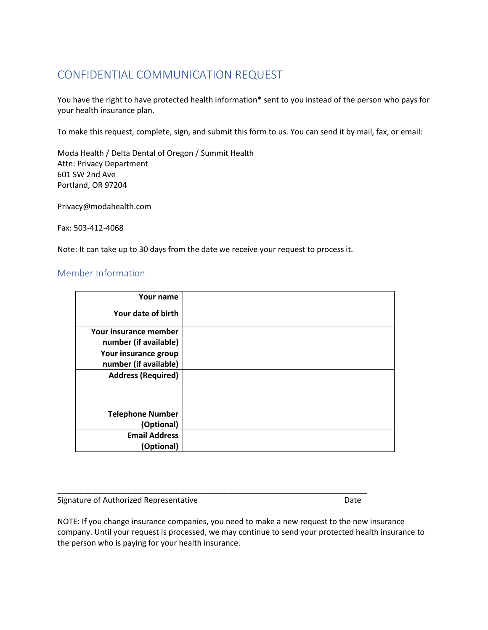## CONFIDENTIAL COMMUNICATION REQUEST

You have the right to have protected health information\* sent to you instead of the person who pays for your health insurance plan.

To make this request, complete, sign, and submit this form to us. You can send it by mail, fax, or email:

Moda Health / Delta Dental of Oregon / Summit Health Attn: Privacy Department 601 SW 2nd Ave Portland, OR 97204

Privacy@modahealth.com

Fax: 503-412-4068

Note: It can take up to 30 days from the date we receive your request to process it.

## Member Information

| Your name                                      |  |
|------------------------------------------------|--|
| Your date of birth                             |  |
| Your insurance member<br>number (if available) |  |
| Your insurance group<br>number (if available)  |  |
| <b>Address (Required)</b>                      |  |
|                                                |  |
| <b>Telephone Number</b>                        |  |
| (Optional)                                     |  |
| <b>Email Address</b>                           |  |
| (Optional)                                     |  |

Signature of Authorized Representative **Date** Date

NOTE: If you change insurance companies, you need to make a new request to the new insurance company. Until your request is processed, we may continue to send your protected health insurance to the person who is paying for your health insurance.

\_\_\_\_\_\_\_\_\_\_\_\_\_\_\_\_\_\_\_\_\_\_\_\_\_\_\_\_\_\_\_\_\_\_\_\_\_\_\_\_\_\_\_\_\_\_\_\_\_\_\_\_\_\_\_\_\_\_\_\_\_\_\_\_\_\_\_\_\_\_\_